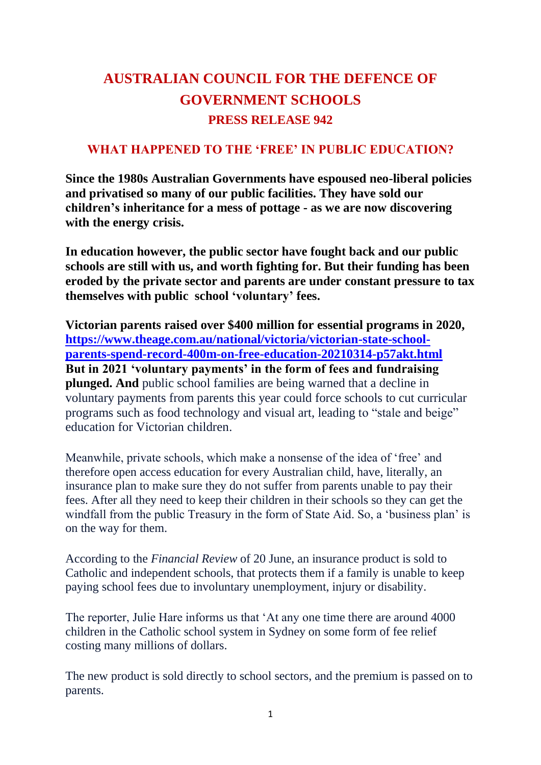## **AUSTRALIAN COUNCIL FOR THE DEFENCE OF GOVERNMENT SCHOOLS PRESS RELEASE 942**

## **WHAT HAPPENED TO THE 'FREE' IN PUBLIC EDUCATION?**

**Since the 1980s Australian Governments have espoused neo-liberal policies and privatised so many of our public facilities. They have sold our children's inheritance for a mess of pottage - as we are now discovering with the energy crisis.** 

**In education however, the public sector have fought back and our public schools are still with us, and worth fighting for. But their funding has been eroded by the private sector and parents are under constant pressure to tax themselves with public school 'voluntary' fees.** 

**Victorian parents raised over \$400 million for essential programs in 2020,** [https://www.theage.com.au/national/victoria/victorian-state-school](https://www.theage.com.au/national/victoria/victorian-state-school-parents-spend-record-400m-on-free-education-20210314-p57akt.html)**[parents-spend-record-400m-on-free-education-20210314-p57akt.html](https://www.theage.com.au/national/victoria/victorian-state-school-parents-spend-record-400m-on-free-education-20210314-p57akt.html) But in 2021 'voluntary payments' in the form of fees and fundraising plunged. And** public school families are being warned that a decline in voluntary payments from parents this year could force schools to cut curricular programs such as food technology and visual art, leading to "stale and beige" education for Victorian children.

Meanwhile, private schools, which make a nonsense of the idea of 'free' and therefore open access education for every Australian child, have, literally, an insurance plan to make sure they do not suffer from parents unable to pay their fees. After all they need to keep their children in their schools so they can get the windfall from the public Treasury in the form of State Aid. So, a 'business plan' is on the way for them.

According to the *Financial Review* of 20 June, an insurance product is sold to Catholic and independent schools, that protects them if a family is unable to keep paying school fees due to involuntary unemployment, injury or disability.

The reporter, Julie Hare informs us that 'At any one time there are around 4000 children in the Catholic school system in Sydney on some form of fee relief costing many millions of dollars.

The new product is sold directly to school sectors, and the premium is passed on to parents.